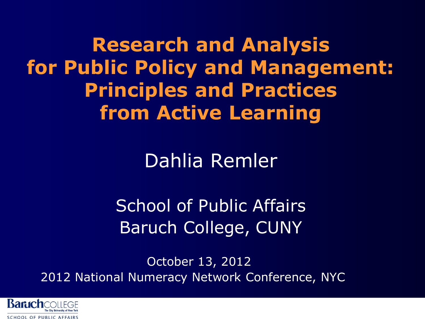**Research and Analysis for Public Policy and Management: Principles and Practices from Active Learning** 

Dahlia Remler

School of Public Affairs Baruch College, CUNY

October 13, 2012 2012 National Numeracy Network Conference, NYC

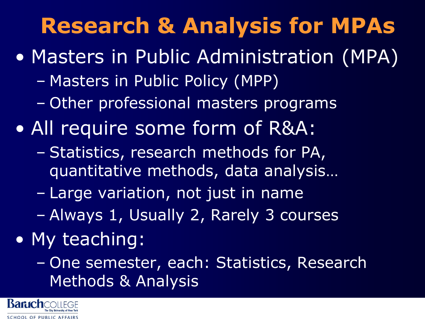# **Research & Analysis for MPAs**

- Masters in Public Administration (MPA)
	- Masters in Public Policy (MPP)
	- Other professional masters programs
- All require some form of R&A:
	- Statistics, research methods for PA, quantitative methods, data analysis…
	- Large variation, not just in name
	- Always 1, Usually 2, Rarely 3 courses
- My teaching:
	- One semester, each: Statistics, Research Methods & Analysis

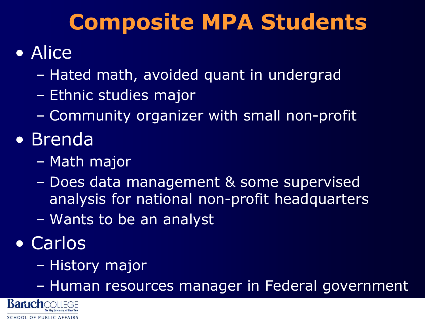#### **Composite MPA Students**

#### • Alice

- Hated math, avoided quant in undergrad
- Ethnic studies major
- Community organizer with small non-profit
- Brenda
	- Math major
	- Does data management & some supervised analysis for national non-profit headquarters
	- Wants to be an analyst
- Carlos
	- History major
	- Human resources manager in Federal government

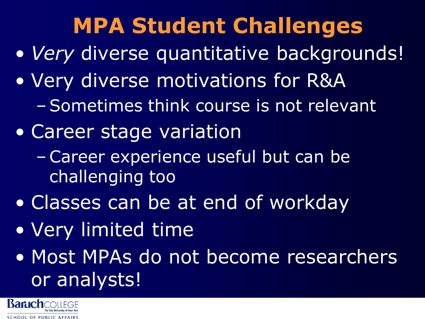# **MPA Student Challenges**

- *Very* diverse quantitative backgrounds!
- Very diverse motivations for R&A
	- –Sometimes think course is not relevant
- Career stage variation
	- –Career experience useful but can be challenging too
- Classes can be at end of workday
- Very limited time
- Most MPAs do not become researchers or analysts!

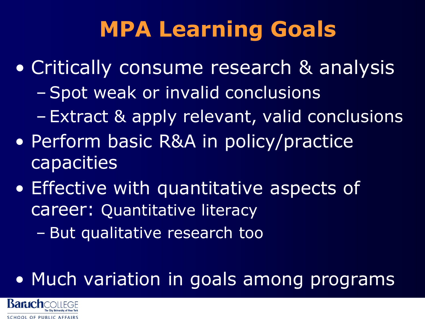# **MPA Learning Goals**

- Critically consume research & analysis –Spot weak or invalid conclusions
	- Extract & apply relevant, valid conclusions
- Perform basic R&A in policy/practice capacities
- Effective with quantitative aspects of career: Quantitative literacy
	- But qualitative research too

#### • Much variation in goals among programs

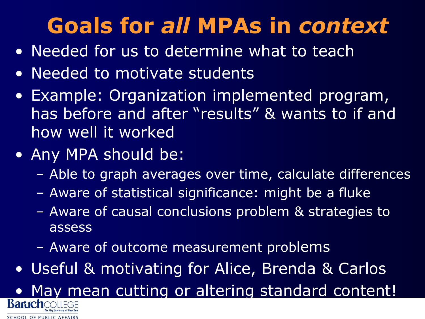# **Goals for** *all* **MPAs in** *context*

- Needed for us to determine what to teach
- Needed to motivate students
- Example: Organization implemented program, has before and after "results" & wants to if and how well it worked
- Any MPA should be:

SCHOOL OF PUBLIC AFFAIRS

- Able to graph averages over time, calculate differences
- Aware of statistical significance: might be a fluke
- Aware of causal conclusions problem & strategies to assess
- Aware of outcome measurement problems
- Useful & motivating for Alice, Brenda & Carlos

• May mean cutting or altering standard content!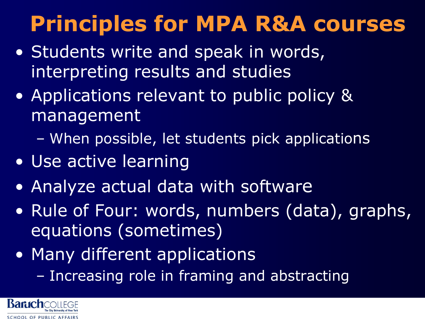# **Principles for MPA R&A courses**

- Students write and speak in words, interpreting results and studies
- Applications relevant to public policy & management
	- When possible, let students pick applications
- Use active learning
- Analyze actual data with software
- Rule of Four: words, numbers (data), graphs, equations (sometimes)
- Many different applications
	- Increasing role in framing and abstracting

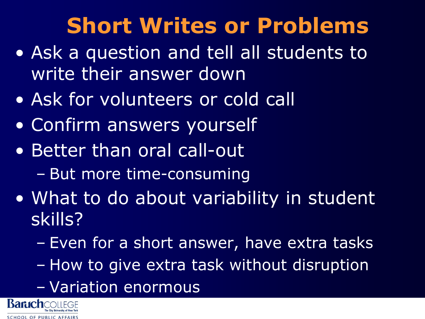# **Short Writes or Problems**

- Ask a question and tell all students to write their answer down
- Ask for volunteers or cold call
- Confirm answers yourself
- Better than oral call-out
	- But more time-consuming
- What to do about variability in student skills?
	- Even for a short answer, have extra tasks
	- How to give extra task without disruption
	- Variation enormous

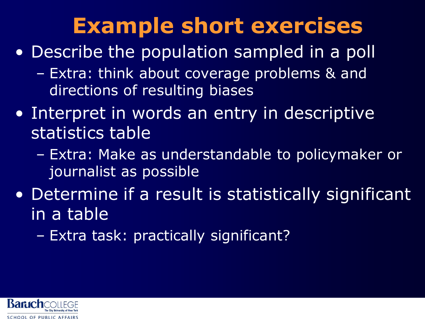## **Example short exercises**

- Describe the population sampled in a poll
	- Extra: think about coverage problems & and directions of resulting biases
- Interpret in words an entry in descriptive statistics table
	- Extra: Make as understandable to policymaker or journalist as possible
- Determine if a result is statistically significant in a table
	- Extra task: practically significant?

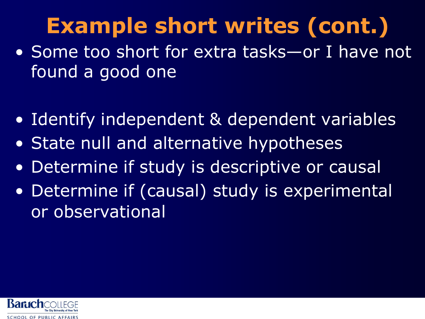# **Example short writes (cont.)**

- Some too short for extra tasks—or I have not found a good one
- Identify independent & dependent variables
- State null and alternative hypotheses
- Determine if study is descriptive or causal
- Determine if (causal) study is experimental or observational

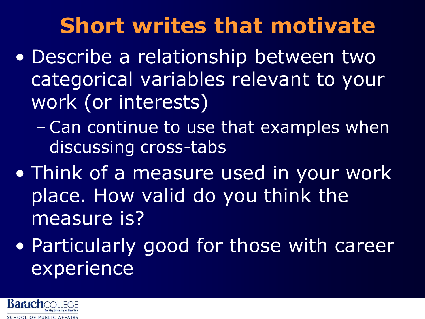## **Short writes that motivate**

- Describe a relationship between two categorical variables relevant to your work (or interests)
	- –Can continue to use that examples when discussing cross-tabs
- Think of a measure used in your work place. How valid do you think the measure is?
- Particularly good for those with career experience

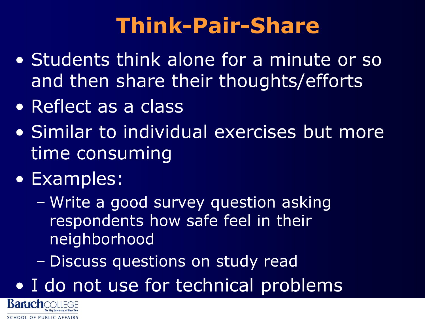## **Think-Pair-Share**

- Students think alone for a minute or so and then share their thoughts/efforts
- Reflect as a class
- Similar to individual exercises but more time consuming
- Examples:
	- Write a good survey question asking respondents how safe feel in their neighborhood
	- Discuss questions on study read
- I do not use for technical problems

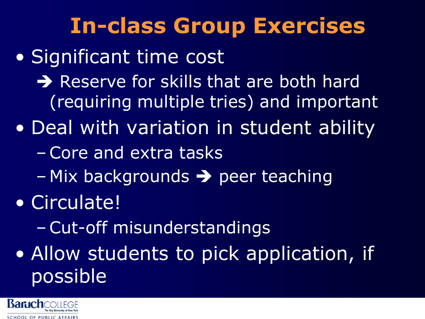## **In-class Group Exercises**

#### • Significant time cost

- $\rightarrow$  Reserve for skills that are both hard (requiring multiple tries) and important
- Deal with variation in student ability
	- –Core and extra tasks
	- $-$  Mix backgrounds  $\rightarrow$  peer teaching
- Circulate!
	- –Cut-off misunderstandings
- Allow students to pick application, if possible

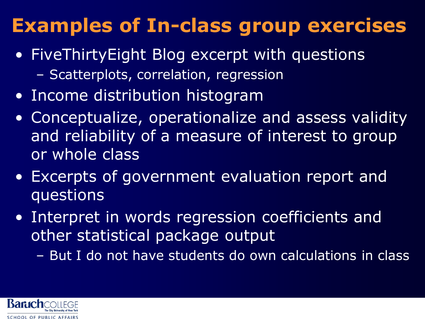#### **Examples of In-class group exercises**

- FiveThirtyEight Blog excerpt with questions
	- Scatterplots, correlation, regression
- Income distribution histogram
- Conceptualize, operationalize and assess validity and reliability of a measure of interest to group or whole class
- Excerpts of government evaluation report and questions
- Interpret in words regression coefficients and other statistical package output
	- But I do not have students do own calculations in class

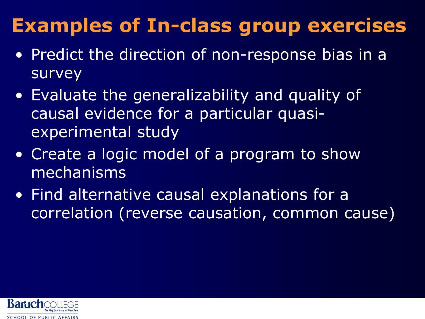#### **Examples of In-class group exercises**

- Predict the direction of non-response bias in a survey
- Evaluate the generalizability and quality of causal evidence for a particular quasiexperimental study
- Create a logic model of a program to show mechanisms
- Find alternative causal explanations for a correlation (reverse causation, common cause)

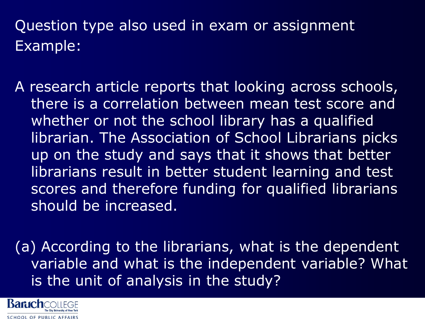#### Question type also used in exam or assignment Example:

A research article reports that looking across schools, there is a correlation between mean test score and whether or not the school library has a qualified librarian. The Association of School Librarians picks up on the study and says that it shows that better librarians result in better student learning and test scores and therefore funding for qualified librarians should be increased.

(a) According to the librarians, what is the dependent variable and what is the independent variable? What is the unit of analysis in the study?

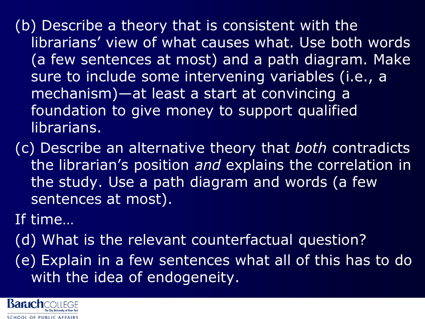(b) Describe a theory that is consistent with the librarians' view of what causes what. Use both words (a few sentences at most) and a path diagram. Make sure to include some intervening variables (i.e., a mechanism)—at least a start at convincing a foundation to give money to support qualified librarians.

(c) Describe an alternative theory that *both* contradicts the librarian's position *and* explains the correlation in the study. Use a path diagram and words (a few sentences at most).

If time…

(d) What is the relevant counterfactual question? (e) Explain in a few sentences what all of this has to do with the idea of endogeneity.

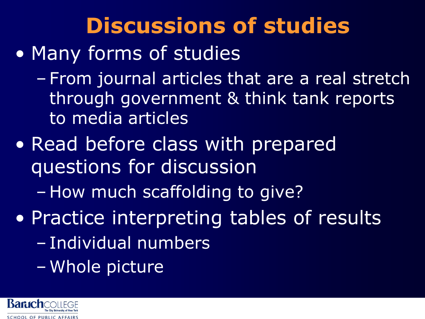#### **Discussions of studies**

- Many forms of studies
	- From journal articles that are a real stretch through government & think tank reports to media articles
- Read before class with prepared questions for discussion
	- How much scaffolding to give?
- Practice interpreting tables of results
	- Individual numbers
	- Whole picture

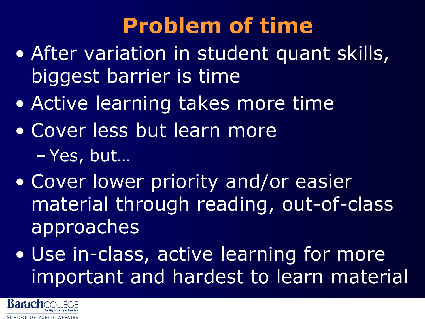# **Problem of time**

- After variation in student quant skills, biggest barrier is time
- Active learning takes more time
- Cover less but learn more – Yes, but…
- Cover lower priority and/or easier material through reading, out-of-class approaches
- Use in-class, active learning for more important and hardest to learn material

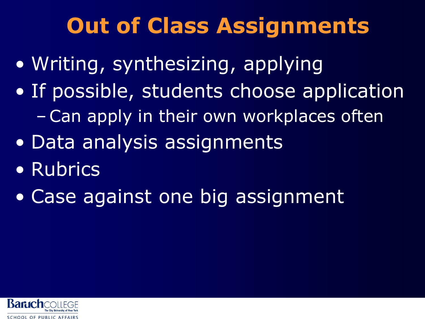## **Out of Class Assignments**

- Writing, synthesizing, applying
- If possible, students choose application –Can apply in their own workplaces often
- Data analysis assignments
- Rubrics
- Case against one big assignment

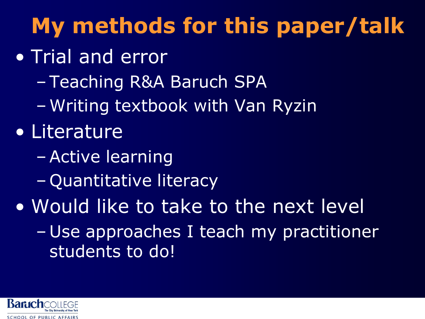# **My methods for this paper/talk**

- Trial and error
	- Teaching R&A Baruch SPA
	- Writing textbook with Van Ryzin

#### • Literature

- –Active learning
- Quantitative literacy
- Would like to take to the next level
	- Use approaches I teach my practitioner students to do!